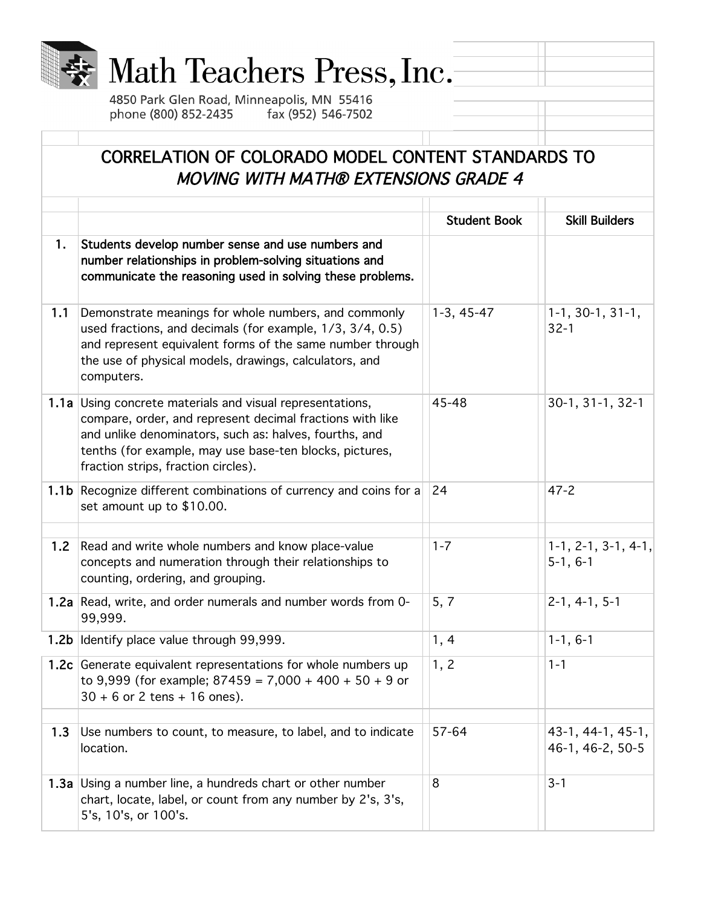

## Math Teachers Press, Inc.

4850 Park Glen Road, Minneapolis, MN 55416 phone (800) 852-2435 fax (952) 546-7502

## CORRELATION OF COLORADO MODEL CONTENT STANDARDS TO MOVING WITH MATH® EXTENSIONS GRADE 4

|     |                                                                                                                                                                                                                                                                                    | <b>Student Book</b> | <b>Skill Builders</b>                 |
|-----|------------------------------------------------------------------------------------------------------------------------------------------------------------------------------------------------------------------------------------------------------------------------------------|---------------------|---------------------------------------|
| 1.  | Students develop number sense and use numbers and<br>number relationships in problem-solving situations and<br>communicate the reasoning used in solving these problems.                                                                                                           |                     |                                       |
| 1.1 | Demonstrate meanings for whole numbers, and commonly<br>used fractions, and decimals (for example, 1/3, 3/4, 0.5)<br>and represent equivalent forms of the same number through<br>the use of physical models, drawings, calculators, and<br>computers.                             | $1-3, 45-47$        | $1-1, 30-1, 31-1,$<br>$32 - 1$        |
|     | 1.1a Using concrete materials and visual representations,<br>compare, order, and represent decimal fractions with like<br>and unlike denominators, such as: halves, fourths, and<br>tenths (for example, may use base-ten blocks, pictures,<br>fraction strips, fraction circles). | 45-48               | $30-1, 31-1, 32-1$                    |
|     | 1.1b Recognize different combinations of currency and coins for a<br>set amount up to \$10.00.                                                                                                                                                                                     | 24                  | $47 - 2$                              |
| 1.2 | Read and write whole numbers and know place-value<br>concepts and numeration through their relationships to<br>counting, ordering, and grouping.                                                                                                                                   | $1 - 7$             | $1-1, 2-1, 3-1, 4-1,$<br>$5-1, 6-1$   |
|     | 1.2a Read, write, and order numerals and number words from 0-<br>99,999.                                                                                                                                                                                                           | 5, 7                | $2-1, 4-1, 5-1$                       |
|     | 1.2b Identify place value through 99,999.                                                                                                                                                                                                                                          | 1, 4                | $1-1, 6-1$                            |
|     | 1.2c Generate equivalent representations for whole numbers up<br>to 9,999 (for example; $87459 = 7,000 + 400 + 50 + 9$ or<br>$30 + 6$ or 2 tens + 16 ones).                                                                                                                        | 1, 2                | $1 - 1$                               |
| 1.3 | Use numbers to count, to measure, to label, and to indicate<br>location.                                                                                                                                                                                                           | 57-64               | 43-1, 44-1, 45-1,<br>46-1, 46-2, 50-5 |
|     | 1.3a Using a number line, a hundreds chart or other number<br>chart, locate, label, or count from any number by 2's, 3's,<br>5's, 10's, or 100's.                                                                                                                                  | 8                   | $3 - 1$                               |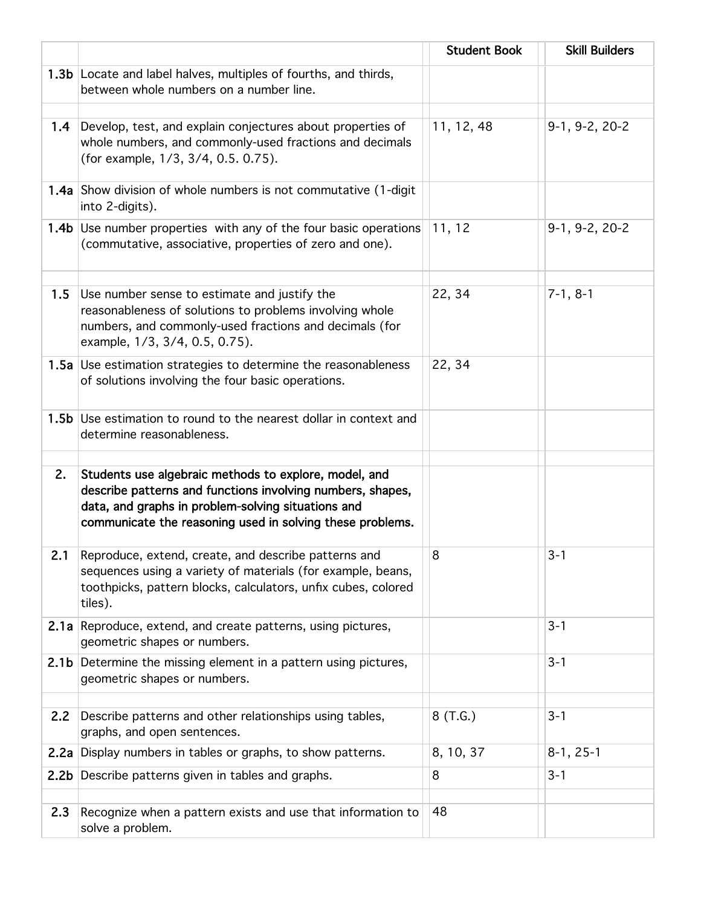|     |                                                                                                                                                                                                                                        | <b>Student Book</b> | <b>Skill Builders</b> |
|-----|----------------------------------------------------------------------------------------------------------------------------------------------------------------------------------------------------------------------------------------|---------------------|-----------------------|
|     | 1.3b Locate and label halves, multiples of fourths, and thirds,<br>between whole numbers on a number line.                                                                                                                             |                     |                       |
|     | 1.4 Develop, test, and explain conjectures about properties of<br>whole numbers, and commonly-used fractions and decimals<br>(for example, 1/3, 3/4, 0.5. 0.75).                                                                       | 11, 12, 48          | $9-1, 9-2, 20-2$      |
|     | <b>1.4a</b> Show division of whole numbers is not commutative (1-digit<br>into 2-digits).                                                                                                                                              |                     |                       |
|     | 1.4b Use number properties with any of the four basic operations<br>(commutative, associative, properties of zero and one).                                                                                                            | 11, 12              | 9-1, 9-2, 20-2        |
| 1.5 | Use number sense to estimate and justify the<br>reasonableness of solutions to problems involving whole<br>numbers, and commonly-used fractions and decimals (for<br>example, 1/3, 3/4, 0.5, 0.75).                                    | 22, 34              | $7-1, 8-1$            |
|     | 1.5a Use estimation strategies to determine the reasonableness<br>of solutions involving the four basic operations.                                                                                                                    | 22, 34              |                       |
|     | 1.5b Use estimation to round to the nearest dollar in context and<br>determine reasonableness.                                                                                                                                         |                     |                       |
| 2.  | Students use algebraic methods to explore, model, and<br>describe patterns and functions involving numbers, shapes,<br>data, and graphs in problem-solving situations and<br>communicate the reasoning used in solving these problems. |                     |                       |
| 2.1 | Reproduce, extend, create, and describe patterns and<br>sequences using a variety of materials (for example, beans,<br>toothpicks, pattern blocks, calculators, unfix cubes, colored<br>tiles).                                        | 8                   | $3 - 1$               |
|     | 2.1a Reproduce, extend, and create patterns, using pictures,<br>geometric shapes or numbers.                                                                                                                                           |                     | $3 - 1$               |
|     | 2.1b Determine the missing element in a pattern using pictures,<br>geometric shapes or numbers.                                                                                                                                        |                     | $3 - 1$               |
| 2.2 | Describe patterns and other relationships using tables,<br>graphs, and open sentences.                                                                                                                                                 | 8(T.G.)             | $3 - 1$               |
|     | 2.2a Display numbers in tables or graphs, to show patterns.                                                                                                                                                                            | 8, 10, 37           | $8-1, 25-1$           |
|     | 2.2b Describe patterns given in tables and graphs.                                                                                                                                                                                     | 8                   | $3 - 1$               |
| 2.3 | Recognize when a pattern exists and use that information to<br>solve a problem.                                                                                                                                                        | 48                  |                       |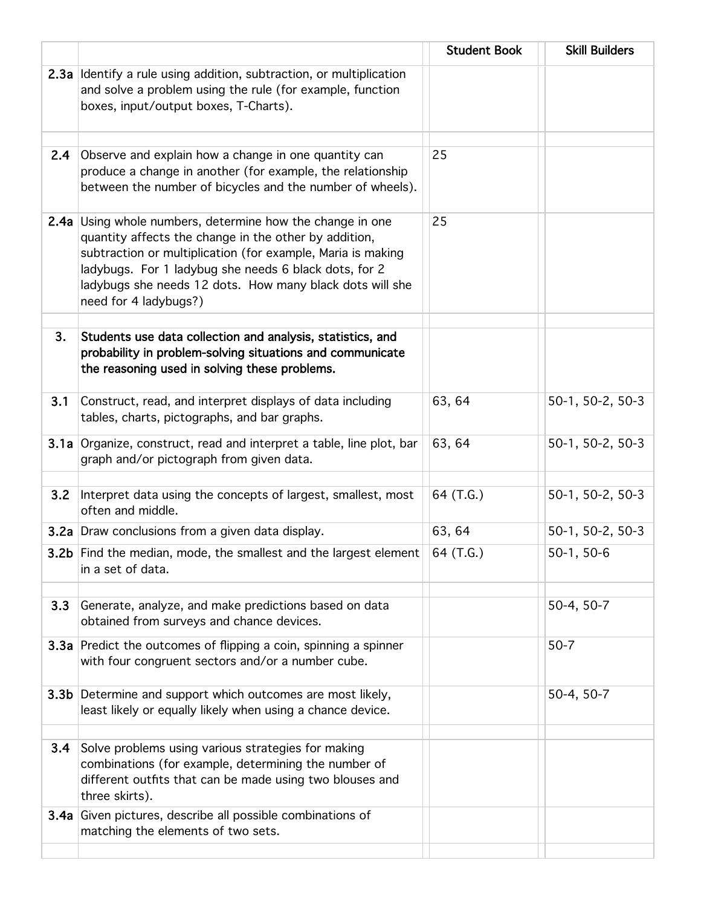|                  |                                                                                                                                                                                                                                                                                                                            | <b>Student Book</b> | <b>Skill Builders</b> |
|------------------|----------------------------------------------------------------------------------------------------------------------------------------------------------------------------------------------------------------------------------------------------------------------------------------------------------------------------|---------------------|-----------------------|
|                  | 2.3a Identify a rule using addition, subtraction, or multiplication<br>and solve a problem using the rule (for example, function<br>boxes, input/output boxes, T-Charts).                                                                                                                                                  |                     |                       |
| 2.4              | Observe and explain how a change in one quantity can<br>produce a change in another (for example, the relationship<br>between the number of bicycles and the number of wheels).                                                                                                                                            | 25                  |                       |
| 2.4a             | Using whole numbers, determine how the change in one<br>quantity affects the change in the other by addition,<br>subtraction or multiplication (for example, Maria is making<br>ladybugs. For 1 ladybug she needs 6 black dots, for 2<br>ladybugs she needs 12 dots. How many black dots will she<br>need for 4 ladybugs?) | 25                  |                       |
| 3.               | Students use data collection and analysis, statistics, and<br>probability in problem-solving situations and communicate<br>the reasoning used in solving these problems.                                                                                                                                                   |                     |                       |
| 3.1              | Construct, read, and interpret displays of data including<br>tables, charts, pictographs, and bar graphs.                                                                                                                                                                                                                  | 63, 64              | 50-1, 50-2, 50-3      |
|                  | 3.1a Organize, construct, read and interpret a table, line plot, bar<br>graph and/or pictograph from given data.                                                                                                                                                                                                           | 63, 64              | 50-1, 50-2, 50-3      |
| 3.2              | Interpret data using the concepts of largest, smallest, most<br>often and middle.                                                                                                                                                                                                                                          | 64 (T.G.)           | 50-1, 50-2, 50-3      |
|                  | 3.2a Draw conclusions from a given data display.                                                                                                                                                                                                                                                                           | 63, 64              | 50-1, 50-2, 50-3      |
|                  | <b>3.2b</b> Find the median, mode, the smallest and the largest element<br>in a set of data.                                                                                                                                                                                                                               | 64 (T.G.)           | $50-1, 50-6$          |
| 3.3              | Generate, analyze, and make predictions based on data<br>obtained from surveys and chance devices.                                                                                                                                                                                                                         |                     | 50-4, 50-7            |
|                  | 3.3a Predict the outcomes of flipping a coin, spinning a spinner<br>with four congruent sectors and/or a number cube.                                                                                                                                                                                                      |                     | $50 - 7$              |
| 3.3 <sub>b</sub> | Determine and support which outcomes are most likely,<br>least likely or equally likely when using a chance device.                                                                                                                                                                                                        |                     | 50-4, 50-7            |
| 3.4              | Solve problems using various strategies for making<br>combinations (for example, determining the number of<br>different outfits that can be made using two blouses and<br>three skirts).                                                                                                                                   |                     |                       |
| 3.4a             | Given pictures, describe all possible combinations of<br>matching the elements of two sets.                                                                                                                                                                                                                                |                     |                       |
|                  |                                                                                                                                                                                                                                                                                                                            |                     |                       |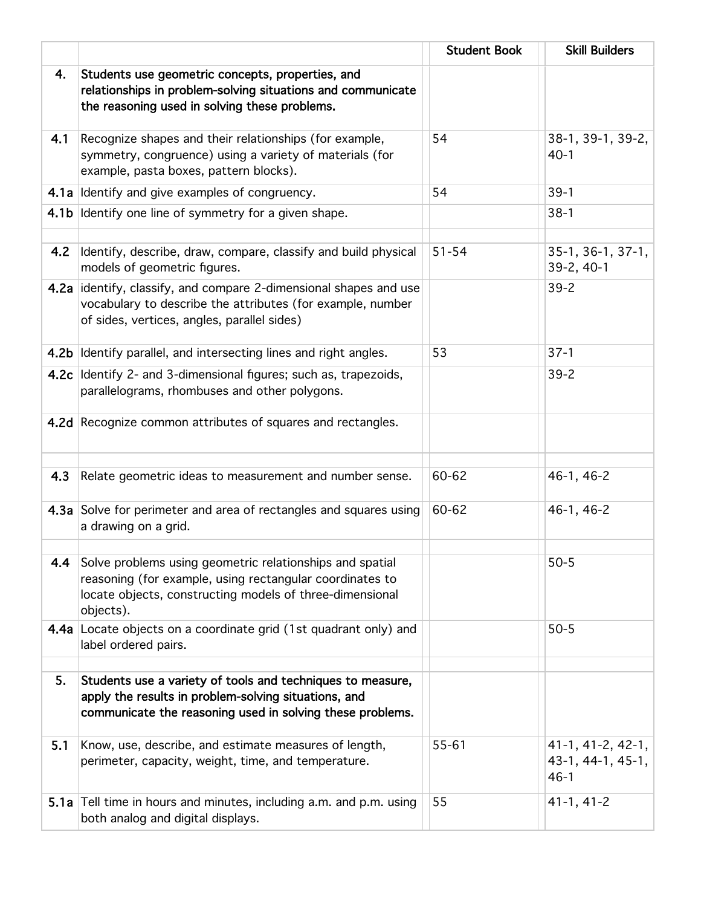|      |                                                                                                                                                                                               | <b>Student Book</b> | <b>Skill Builders</b>                              |
|------|-----------------------------------------------------------------------------------------------------------------------------------------------------------------------------------------------|---------------------|----------------------------------------------------|
| 4.   | Students use geometric concepts, properties, and<br>relationships in problem-solving situations and communicate<br>the reasoning used in solving these problems.                              |                     |                                                    |
| 4.1  | Recognize shapes and their relationships (for example,<br>symmetry, congruence) using a variety of materials (for<br>example, pasta boxes, pattern blocks).                                   | 54                  | 38-1, 39-1, 39-2,<br>$40-1$                        |
|      | 4.1a Identify and give examples of congruency.                                                                                                                                                | 54                  | $39-1$                                             |
| 4.1b | Identify one line of symmetry for a given shape.                                                                                                                                              |                     | $38-1$                                             |
| 4.2  | Identify, describe, draw, compare, classify and build physical<br>models of geometric figures.                                                                                                | $51 - 54$           | $35-1, 36-1, 37-1,$<br>39-2, 40-1                  |
|      | 4.2a identify, classify, and compare 2-dimensional shapes and use<br>vocabulary to describe the attributes (for example, number<br>of sides, vertices, angles, parallel sides)                |                     | $39 - 2$                                           |
|      | 4.2b Identify parallel, and intersecting lines and right angles.                                                                                                                              | 53                  | $37-1$                                             |
|      | 4.2c Identify 2- and 3-dimensional figures; such as, trapezoids,<br>parallelograms, rhombuses and other polygons.                                                                             |                     | $39 - 2$                                           |
|      | 4.2d Recognize common attributes of squares and rectangles.                                                                                                                                   |                     |                                                    |
| 4.3  | Relate geometric ideas to measurement and number sense.                                                                                                                                       | 60-62               | $46-1, 46-2$                                       |
|      | 4.3a Solve for perimeter and area of rectangles and squares using<br>a drawing on a grid.                                                                                                     | 60-62               | 46-1, 46-2                                         |
| 4.4  | Solve problems using geometric relationships and spatial<br>reasoning (for example, using rectangular coordinates to<br>locate objects, constructing models of three-dimensional<br>objects). |                     | $50 - 5$                                           |
|      | 4.4a Locate objects on a coordinate grid (1st quadrant only) and<br>label ordered pairs.                                                                                                      |                     | $50 - 5$                                           |
| 5.   | Students use a variety of tools and techniques to measure,<br>apply the results in problem-solving situations, and<br>communicate the reasoning used in solving these problems.               |                     |                                                    |
| 5.1  | Know, use, describe, and estimate measures of length,<br>perimeter, capacity, weight, time, and temperature.                                                                                  | 55-61               | 41-1, 41-2, 42-1,<br>43-1, 44-1, 45-1,<br>$46 - 1$ |
|      | 5.1a Tell time in hours and minutes, including a.m. and p.m. using<br>both analog and digital displays.                                                                                       | 55                  | $41-1, 41-2$                                       |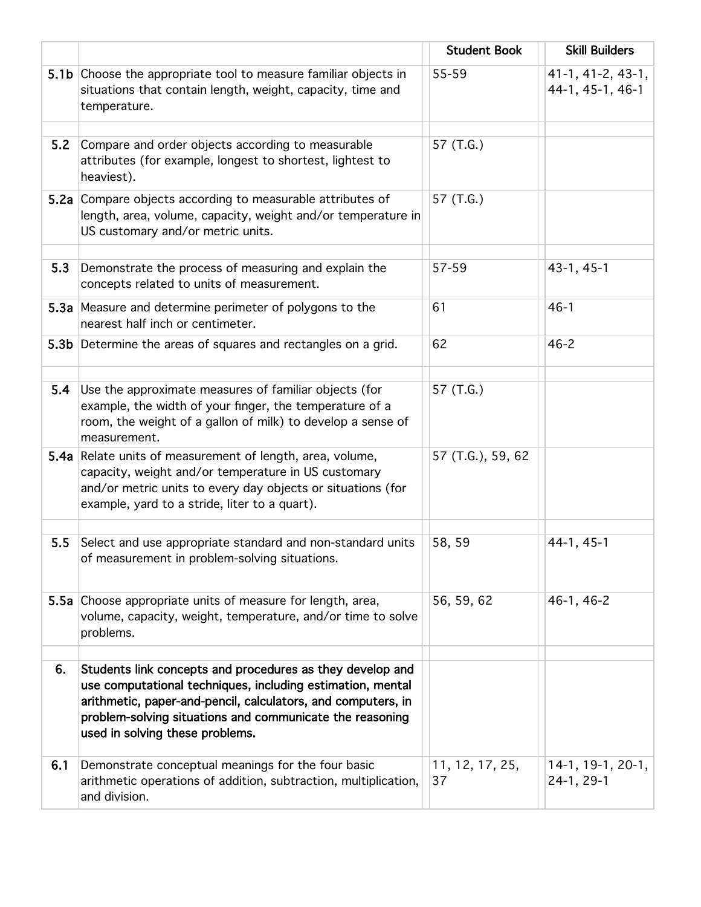|      |                                                                                                                                                                                                                                                                                        | <b>Student Book</b>   | <b>Skill Builders</b>                 |
|------|----------------------------------------------------------------------------------------------------------------------------------------------------------------------------------------------------------------------------------------------------------------------------------------|-----------------------|---------------------------------------|
|      | 5.1b Choose the appropriate tool to measure familiar objects in<br>situations that contain length, weight, capacity, time and<br>temperature.                                                                                                                                          | 55-59                 | 41-1, 41-2, 43-1,<br>44-1, 45-1, 46-1 |
| 5.2  | Compare and order objects according to measurable<br>attributes (for example, longest to shortest, lightest to<br>heaviest).                                                                                                                                                           | 57 (T.G.)             |                                       |
| 5.2a | Compare objects according to measurable attributes of<br>length, area, volume, capacity, weight and/or temperature in<br>US customary and/or metric units.                                                                                                                             | 57 (T.G.)             |                                       |
| 5.3  | Demonstrate the process of measuring and explain the<br>concepts related to units of measurement.                                                                                                                                                                                      | 57-59                 | $43-1, 45-1$                          |
|      | 5.3a Measure and determine perimeter of polygons to the<br>nearest half inch or centimeter.                                                                                                                                                                                            | 61                    | $46 - 1$                              |
|      | 5.3b Determine the areas of squares and rectangles on a grid.                                                                                                                                                                                                                          | 62                    | $46 - 2$                              |
| 5.4  | Use the approximate measures of familiar objects (for<br>example, the width of your finger, the temperature of a<br>room, the weight of a gallon of milk) to develop a sense of<br>measurement.                                                                                        | 57 (T.G.)             |                                       |
|      | 5.4a Relate units of measurement of length, area, volume,<br>capacity, weight and/or temperature in US customary<br>and/or metric units to every day objects or situations (for<br>example, yard to a stride, liter to a quart).                                                       | 57 (T.G.), 59, 62     |                                       |
| 5.5  | Select and use appropriate standard and non-standard units<br>of measurement in problem-solving situations.                                                                                                                                                                            | 58, 59                | 44-1, 45-1                            |
|      | 5.5a Choose appropriate units of measure for length, area,<br>volume, capacity, weight, temperature, and/or time to solve<br>problems.                                                                                                                                                 | 56, 59, 62            | 46-1, 46-2                            |
| 6.   | Students link concepts and procedures as they develop and<br>use computational techniques, including estimation, mental<br>arithmetic, paper-and-pencil, calculators, and computers, in<br>problem-solving situations and communicate the reasoning<br>used in solving these problems. |                       |                                       |
| 6.1  | Demonstrate conceptual meanings for the four basic<br>arithmetic operations of addition, subtraction, multiplication,<br>and division.                                                                                                                                                 | 11, 12, 17, 25,<br>37 | 14-1, 19-1, 20-1,<br>24-1, 29-1       |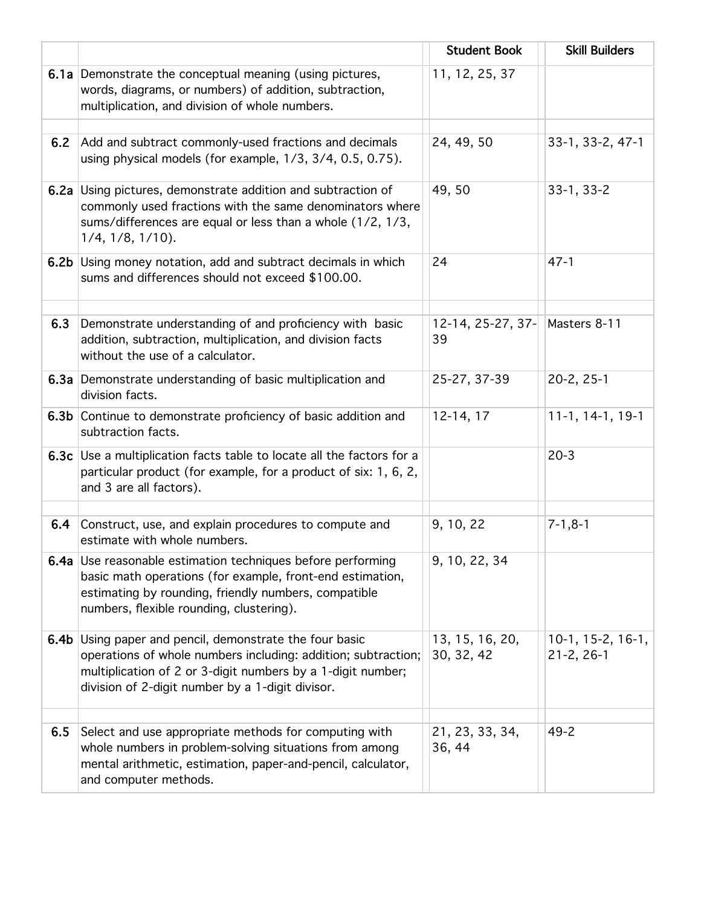|      |                                                                                                                                                                                                                                        | <b>Student Book</b>           | <b>Skill Builders</b>                   |
|------|----------------------------------------------------------------------------------------------------------------------------------------------------------------------------------------------------------------------------------------|-------------------------------|-----------------------------------------|
|      | 6.1a Demonstrate the conceptual meaning (using pictures,<br>words, diagrams, or numbers) of addition, subtraction,<br>multiplication, and division of whole numbers.                                                                   | 11, 12, 25, 37                |                                         |
| 6.2  | Add and subtract commonly-used fractions and decimals<br>using physical models (for example, 1/3, 3/4, 0.5, 0.75).                                                                                                                     | 24, 49, 50                    | 33-1, 33-2, 47-1                        |
|      | <b>6.2a</b> Using pictures, demonstrate addition and subtraction of<br>commonly used fractions with the same denominators where<br>sums/differences are equal or less than a whole (1/2, 1/3,<br>$1/4$ , $1/8$ , $1/10$ ).             | 49, 50                        | 33-1, 33-2                              |
|      | 6.2b Using money notation, add and subtract decimals in which<br>sums and differences should not exceed \$100.00.                                                                                                                      | 24                            | $47 - 1$                                |
| 6.3  | Demonstrate understanding of and proficiency with basic<br>addition, subtraction, multiplication, and division facts<br>without the use of a calculator.                                                                               | $12-14, 25-27, 37-$<br>39     | Masters 8-11                            |
|      | 6.3a Demonstrate understanding of basic multiplication and<br>division facts.                                                                                                                                                          | 25-27, 37-39                  | $20 - 2, 25 - 1$                        |
|      | 6.3b Continue to demonstrate proficiency of basic addition and<br>subtraction facts.                                                                                                                                                   | 12-14, 17                     | 11-1, 14-1, 19-1                        |
|      | 6.3c Use a multiplication facts table to locate all the factors for a<br>particular product (for example, for a product of six: 1, 6, 2,<br>and 3 are all factors).                                                                    |                               | $20-3$                                  |
|      |                                                                                                                                                                                                                                        |                               |                                         |
| 6.4  | Construct, use, and explain procedures to compute and<br>estimate with whole numbers.                                                                                                                                                  | 9, 10, 22                     | $7 - 1, 8 - 1$                          |
|      | 6.4a Use reasonable estimation techniques before performing<br>basic math operations (for example, front-end estimation,<br>estimating by rounding, friendly numbers, compatible<br>numbers, flexible rounding, clustering).           | 9, 10, 22, 34                 |                                         |
| 6.4b | Using paper and pencil, demonstrate the four basic<br>operations of whole numbers including: addition; subtraction;<br>multiplication of 2 or 3-digit numbers by a 1-digit number;<br>division of 2-digit number by a 1-digit divisor. | 13, 15, 16, 20,<br>30, 32, 42 | $10-1, 15-2, 16-1,$<br>$21 - 2, 26 - 1$ |
| 6.5  | Select and use appropriate methods for computing with<br>whole numbers in problem-solving situations from among<br>mental arithmetic, estimation, paper-and-pencil, calculator,<br>and computer methods.                               | 21, 23, 33, 34,<br>36, 44     | $49 - 2$                                |